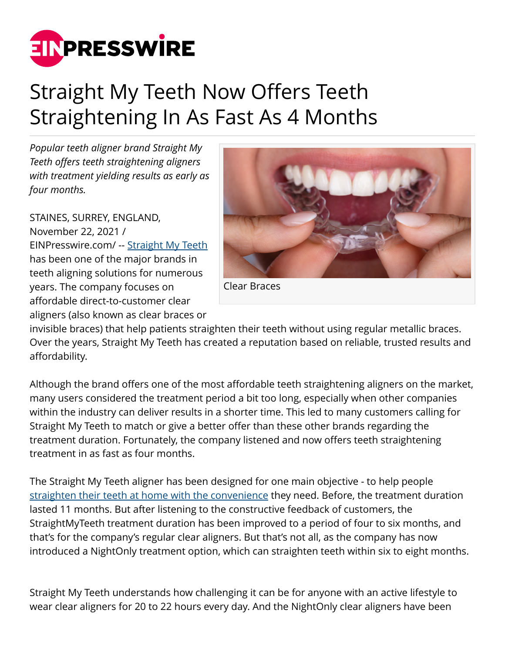

## Straight My Teeth Now Offers Teeth Straightening In As Fast As 4 Months

*Popular teeth aligner brand Straight My Teeth offers teeth straightening aligners with treatment yielding results as early as four months.*

STAINES, SURREY, ENGLAND, November 22, 2021 / [EINPresswire.com](http://www.einpresswire.com)/ -- [Straight My Teeth](https://www.straightmyteeth.com/) has been one of the major brands in teeth aligning solutions for numerous years. The company focuses on affordable direct-to-customer clear aligners (also known as clear braces or



Clear Braces

invisible braces) that help patients straighten their teeth without using regular metallic braces. Over the years, Straight My Teeth has created a reputation based on reliable, trusted results and affordability.

Although the brand offers one of the most affordable teeth straightening aligners on the market, many users considered the treatment period a bit too long, especially when other companies within the industry can deliver results in a shorter time. This led to many customers calling for Straight My Teeth to match or give a better offer than these other brands regarding the treatment duration. Fortunately, the company listened and now offers teeth straightening treatment in as fast as four months.

The Straight My Teeth aligner has been designed for one main objective - to help people [straighten their teeth at home with the convenience](https://www.straightmyteeth.com/teeth-straightening/) they need. Before, the treatment duration lasted 11 months. But after listening to the constructive feedback of customers, the StraightMyTeeth treatment duration has been improved to a period of four to six months, and that's for the company's regular clear aligners. But that's not all, as the company has now introduced a NightOnly treatment option, which can straighten teeth within six to eight months.

Straight My Teeth understands how challenging it can be for anyone with an active lifestyle to wear clear aligners for 20 to 22 hours every day. And the NightOnly clear aligners have been